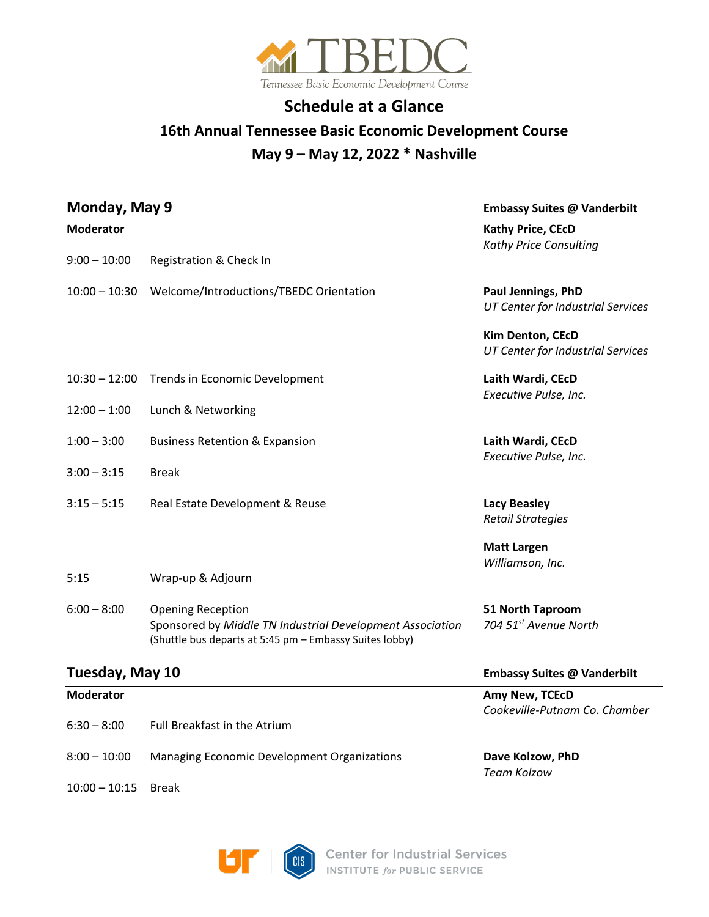

# **Schedule at a Glance**

## **16th Annual Tennessee Basic Economic Development Course May 9 – May 12, 2022 \* Nashville**

| Monday, May 9<br><b>Moderator</b> |                                                                                                                                                  | <b>Embassy Suites @ Vanderbilt</b><br>Kathy Price, CEcD<br>Kathy Price Consulting |
|-----------------------------------|--------------------------------------------------------------------------------------------------------------------------------------------------|-----------------------------------------------------------------------------------|
|                                   |                                                                                                                                                  |                                                                                   |
|                                   | 10:00 - 10:30 Welcome/Introductions/TBEDC Orientation                                                                                            | Paul Jennings, PhD<br><b>UT Center for Industrial Services</b>                    |
|                                   |                                                                                                                                                  | Kim Denton, CEcD<br>UT Center for Industrial Services                             |
| $10:30 - 12:00$                   | Trends in Economic Development                                                                                                                   | Laith Wardi, CEcD<br>Executive Pulse, Inc.                                        |
| $12:00 - 1:00$                    | Lunch & Networking                                                                                                                               |                                                                                   |
| $1:00 - 3:00$                     | <b>Business Retention &amp; Expansion</b>                                                                                                        | Laith Wardi, CEcD<br>Executive Pulse, Inc.                                        |
| $3:00 - 3:15$                     | <b>Break</b>                                                                                                                                     |                                                                                   |
| $3:15 - 5:15$                     | Real Estate Development & Reuse                                                                                                                  | <b>Lacy Beasley</b><br><b>Retail Strategies</b>                                   |
|                                   |                                                                                                                                                  | <b>Matt Largen</b><br>Williamson, Inc.                                            |
| 5:15                              | Wrap-up & Adjourn                                                                                                                                |                                                                                   |
| $6:00 - 8:00$                     | <b>Opening Reception</b><br>Sponsored by Middle TN Industrial Development Association<br>(Shuttle bus departs at 5:45 pm - Embassy Suites lobby) | 51 North Taproom<br>704 51st Avenue North                                         |
| Tuesday, May 10                   |                                                                                                                                                  | <b>Embassy Suites @ Vanderbilt</b>                                                |
| <b>Moderator</b>                  |                                                                                                                                                  | Amy New, TCEcD<br>Cookeville-Putnam Co. Chamber                                   |
| $6:30 - 8:00$                     | Full Breakfast in the Atrium                                                                                                                     |                                                                                   |
| $8:00 - 10:00$                    | Managing Economic Development Organizations                                                                                                      | Dave Kolzow, PhD<br>Team Kolzow                                                   |
| $10:00 - 10:15$                   | <b>Break</b>                                                                                                                                     |                                                                                   |

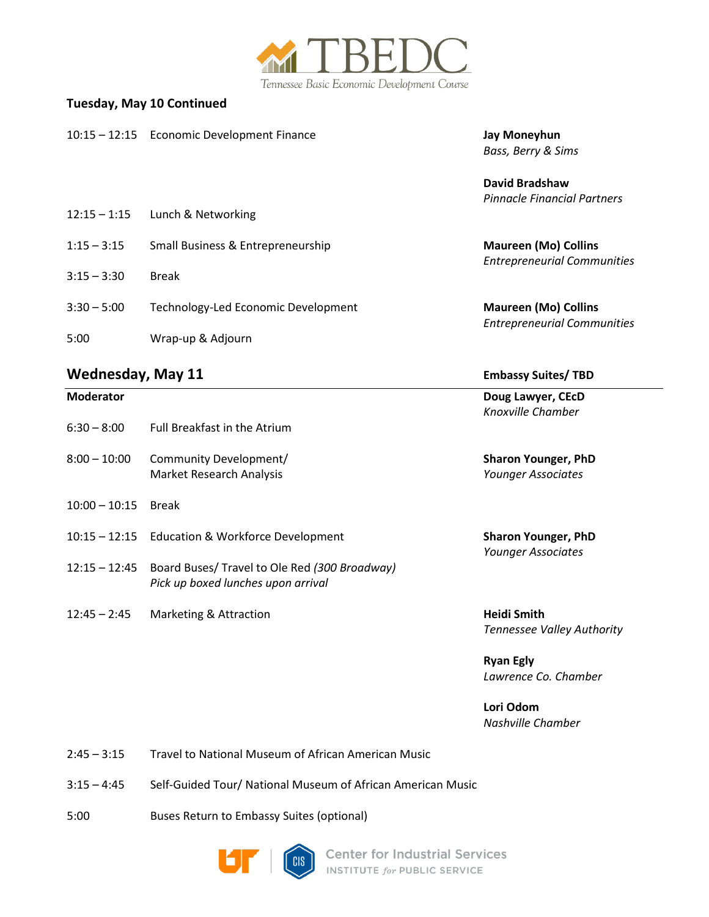

### **Tuesday, May 10 Continued**

|                | 10:15 - 12:15 Economic Development Finance | Jay Moneyhun<br>Bass, Berry & Sims                                |
|----------------|--------------------------------------------|-------------------------------------------------------------------|
| $12:15 - 1:15$ | Lunch & Networking                         | David Bradshaw<br>Pinnacle Financial Partners                     |
| $1:15 - 3:15$  | Small Business & Entrepreneurship          | <b>Maureen (Mo) Collins</b><br><b>Entrepreneurial Communities</b> |
| $3:15 - 3:30$  | <b>Break</b>                               |                                                                   |
| $3:30 - 5:00$  | Technology-Led Economic Development        | <b>Maureen (Mo) Collins</b><br><b>Entrepreneurial Communities</b> |
| 5:00           | Wrap-up & Adjourn                          |                                                                   |
|                |                                            |                                                                   |

### **Wednesday, May 11** *CONDER CONDER CONDER CONDER CONDER CONDER CONDER CONDER CONDER CONDER CONDER CONDER CONDER CONDER CONDER CONDER CONDER CONDER CONDER CONDER CONDER CONDER CONDER CONDER CONDER CONDER CONDER CONDER COND*

| $6:30 - 8:00$   | <b>Full Breakfast in the Atrium</b>                                                               |
|-----------------|---------------------------------------------------------------------------------------------------|
| $8:00 - 10:00$  | Community Development/<br>Market Research Analysis                                                |
| $10:00 - 10:15$ | <b>Break</b>                                                                                      |
|                 | 10:15 – 12:15 Education & Workforce Development                                                   |
|                 | 12:15 – 12:45 Board Buses/ Travel to Ole Red (300 Broadway)<br>Pick up boxed lunches upon arrival |

12:45 - 2:45 Marketing & Attraction **Heidi Smith** 

**Moderator****Doug Lawyer, CEcD** *Knoxville Chamber*

> **Sharon Younger, PhD** Younger Associates

> **Sharon Younger, PhD**  *Younger Associates*

*Tennessee Valley Authority*

 **Ryan Egly** *Lawrence Co. Chamber*

**Lori Odom** *Nashville Chamber*

2:45 – 3:15 Travel to National Museum of African American Music

- 3:15 4:45 Self-Guided Tour/ National Museum of African American Music
- 5:00 Buses Return to Embassy Suites (optional)



**Center for Industrial Services** INSTITUTE for PUBLIC SERVICE